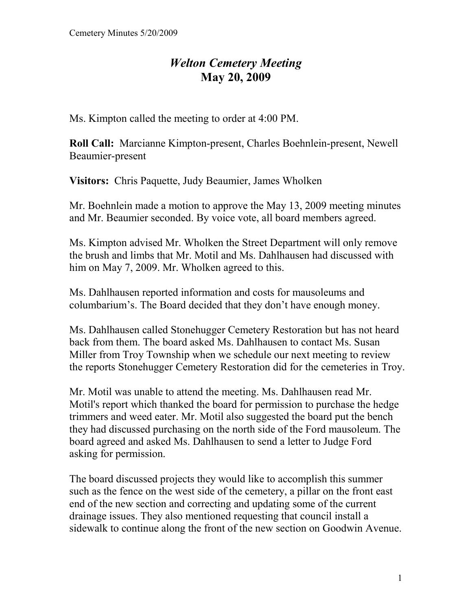## *Welton Cemetery Meeting*  **May 20, 2009**

Ms. Kimpton called the meeting to order at 4:00 PM.

**Roll Call:** Marcianne Kimpton-present, Charles Boehnlein-present, Newell Beaumier-present

**Visitors:** Chris Paquette, Judy Beaumier, James Wholken

Mr. Boehnlein made a motion to approve the May 13, 2009 meeting minutes and Mr. Beaumier seconded. By voice vote, all board members agreed.

Ms. Kimpton advised Mr. Wholken the Street Department will only remove the brush and limbs that Mr. Motil and Ms. Dahlhausen had discussed with him on May 7, 2009. Mr. Wholken agreed to this.

Ms. Dahlhausen reported information and costs for mausoleums and columbarium's. The Board decided that they don't have enough money.

Ms. Dahlhausen called Stonehugger Cemetery Restoration but has not heard back from them. The board asked Ms. Dahlhausen to contact Ms. Susan Miller from Troy Township when we schedule our next meeting to review the reports Stonehugger Cemetery Restoration did for the cemeteries in Troy.

Mr. Motil was unable to attend the meeting. Ms. Dahlhausen read Mr. Motil's report which thanked the board for permission to purchase the hedge trimmers and weed eater. Mr. Motil also suggested the board put the bench they had discussed purchasing on the north side of the Ford mausoleum. The board agreed and asked Ms. Dahlhausen to send a letter to Judge Ford asking for permission.

The board discussed projects they would like to accomplish this summer such as the fence on the west side of the cemetery, a pillar on the front east end of the new section and correcting and updating some of the current drainage issues. They also mentioned requesting that council install a sidewalk to continue along the front of the new section on Goodwin Avenue.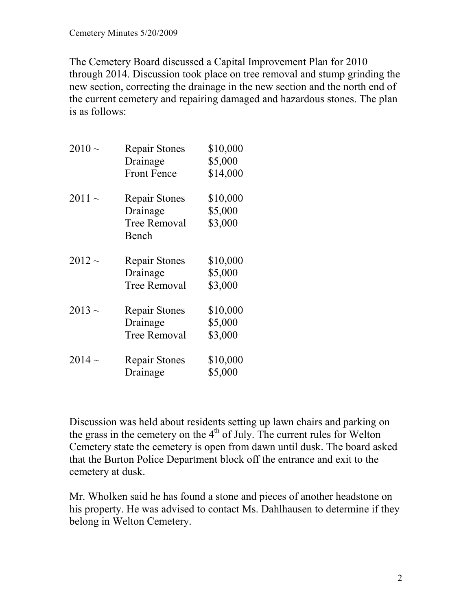The Cemetery Board discussed a Capital Improvement Plan for 2010 through 2014. Discussion took place on tree removal and stump grinding the new section, correcting the drainage in the new section and the north end of the current cemetery and repairing damaged and hazardous stones. The plan is as follows:

| $2010 \sim$ | <b>Repair Stones</b><br>Drainage<br><b>Front Fence</b>           | \$10,000<br>\$5,000<br>\$14,000 |
|-------------|------------------------------------------------------------------|---------------------------------|
| 2011 $\sim$ | <b>Repair Stones</b><br>Drainage<br><b>Tree Removal</b><br>Bench | \$10,000<br>\$5,000<br>\$3,000  |
| 2012 $\sim$ | <b>Repair Stones</b><br>Drainage<br><b>Tree Removal</b>          | \$10,000<br>\$5,000<br>\$3,000  |
| $2013 \sim$ | <b>Repair Stones</b><br>Drainage<br><b>Tree Removal</b>          | \$10,000<br>\$5,000<br>\$3,000  |
| 2014 $\sim$ | <b>Repair Stones</b><br>Drainage                                 | \$10,000<br>\$5,000             |

Discussion was held about residents setting up lawn chairs and parking on the grass in the cemetery on the  $4<sup>th</sup>$  of July. The current rules for Welton Cemetery state the cemetery is open from dawn until dusk. The board asked that the Burton Police Department block off the entrance and exit to the cemetery at dusk.

Mr. Wholken said he has found a stone and pieces of another headstone on his property. He was advised to contact Ms. Dahlhausen to determine if they belong in Welton Cemetery.